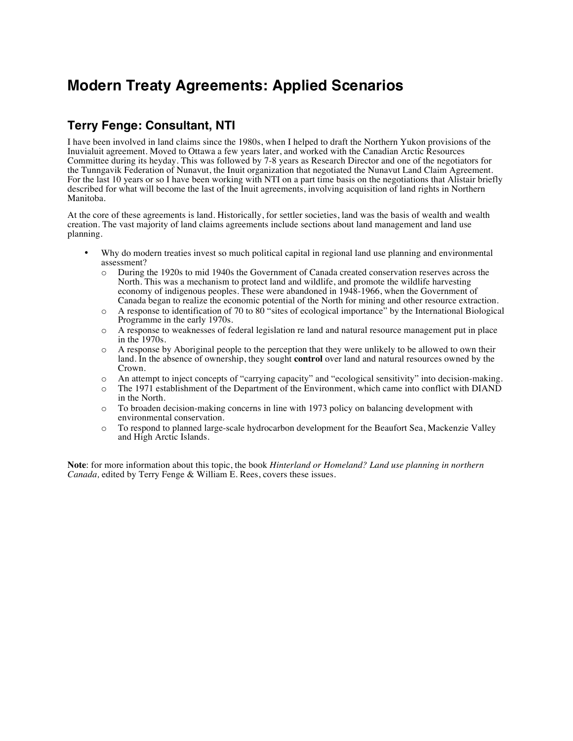## **Modern Treaty Agreements: Applied Scenarios**

## **Terry Fenge: Consultant, NTI**

I have been involved in land claims since the 1980s, when I helped to draft the Northern Yukon provisions of the Inuvialuit agreement. Moved to Ottawa a few years later, and worked with the Canadian Arctic Resources Committee during its heyday. This was followed by 7-8 years as Research Director and one of the negotiators for the Tunngavik Federation of Nunavut, the Inuit organization that negotiated the Nunavut Land Claim Agreement. For the last 10 years or so I have been working with NTI on a part time basis on the negotiations that Alistair briefly described for what will become the last of the Inuit agreements, involving acquisition of land rights in Northern Manitoba.

At the core of these agreements is land. Historically, for settler societies, land was the basis of wealth and wealth creation. The vast majority of land claims agreements include sections about land management and land use planning.

- Why do modern treaties invest so much political capital in regional land use planning and environmental assessment?
	- o During the 1920s to mid 1940s the Government of Canada created conservation reserves across the North. This was a mechanism to protect land and wildlife, and promote the wildlife harvesting economy of indigenous peoples. These were abandoned in 1948-1966, when the Government of Canada began to realize the economic potential of the North for mining and other resource extraction.
	- o A response to identification of 70 to 80 "sites of ecological importance" by the International Biological Programme in the early 1970s.
	- o A response to weaknesses of federal legislation re land and natural resource management put in place in the 1970s.
	- o A response by Aboriginal people to the perception that they were unlikely to be allowed to own their land. In the absence of ownership, they sought **control** over land and natural resources owned by the Crown.
	- o An attempt to inject concepts of "carrying capacity" and "ecological sensitivity" into decision-making.
	- o The 1971 establishment of the Department of the Environment, which came into conflict with DIAND in the North.
	- o To broaden decision-making concerns in line with 1973 policy on balancing development with environmental conservation.
	- o To respond to planned large-scale hydrocarbon development for the Beaufort Sea, Mackenzie Valley and High Arctic Islands.

**Note**: for more information about this topic, the book *Hinterland or Homeland? Land use planning in northern Canada,* edited by Terry Fenge & William E. Rees, covers these issues.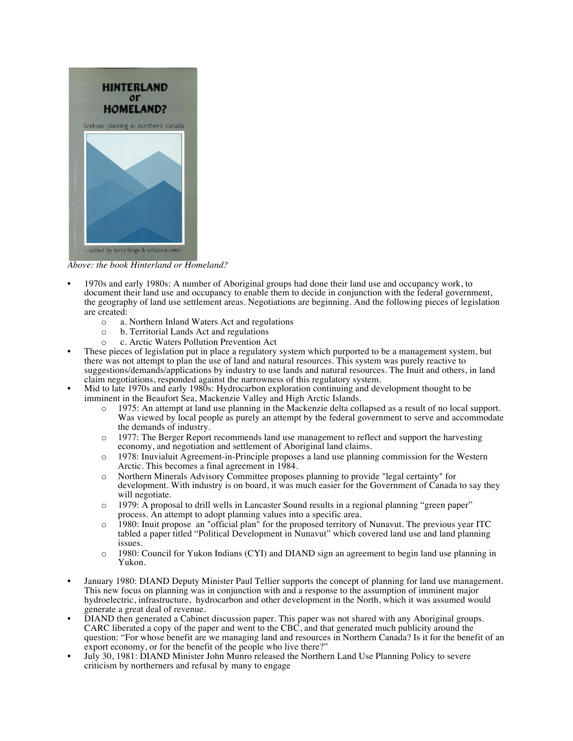

*Above: the book Hinterland or Homeland?*

- 1970s and early 1980s: A number of Aboriginal groups had done their land use and occupancy work, to document their land use and occupancy to enable them to decide in conjunction with the federal government, the geography of land use settlement areas. Negotiations are beginning. And the following pieces of legislation are created:
	- o a. Northern Inland Waters Act and regulations
	-
	- o b. Territorial Lands Act and regulations
- <sup>o</sup> c. Arctic Waters Pollution Prevention Act These pieces of legislation put in place a regulatory system which purported to be a management system, but there was not attempt to plan the use of land and natural resources. This system was purely reactive to suggestions/demands/applications by industry to use lands and natural resources. The Inuit and others, in land claim negotiations, responded against the narrowness of this regulatory system.
- Mid to late 1970s and early 1980s: Hydrocarbon exploration continuing and development thought to be imminent in the Beaufort Sea, Mackenzie Valley and High Arctic Islands.
	- 1975: An attempt at land use planning in the Mackenzie delta collapsed as a result of no local support. Was viewed by local people as purely an attempt by the federal government to serve and accommodate the demands of industry.
	- o 1977: The Berger Report recommends land use management to reflect and support the harvesting economy, and negotiation and settlement of Aboriginal land claims.
	- o 1978: Inuvialuit Agreement-in-Principle proposes a land use planning commission for the Western Arctic. This becomes a final agreement in 1984.
	- o Northern Minerals Advisory Committee proposes planning to provide "legal certainty" for development. With industry is on board, it was much easier for the Government of Canada to say they will negotiate.
	- o 1979: A proposal to drill wells in Lancaster Sound results in a regional planning "green paper" process. An attempt to adopt planning values into a specific area.
	- o 1980: Inuit propose an "official plan" for the proposed territory of Nunavut. The previous year ITC tabled a paper titled "Political Development in Nunavut" which covered land use and land planning issues.
	- o 1980: Council for Yukon Indians (CYI) and DIAND sign an agreement to begin land use planning in Yukon.
- January 1980: DIAND Deputy Minister Paul Tellier supports the concept of planning for land use management. This new focus on planning was in conjunction with and a response to the assumption of imminent major hydroelectric, infrastructure, hydrocarbon and other development in the North, which it was assumed would
- DIAND then generated a Cabinet discussion paper. This paper was not shared with any Aboriginal groups. CARC liberated a copy of the paper and went to the CBC, and that generated much publicity around the question: "For whose benefit are we managing land and resources in Northern Canada? Is it for the benefit of an export economy, or for the benefit of the people who live there?"
- July 30, 1981: DIAND Minister John Munro released the Northern Land Use Planning Policy to severe criticism by northerners and refusal by many to engage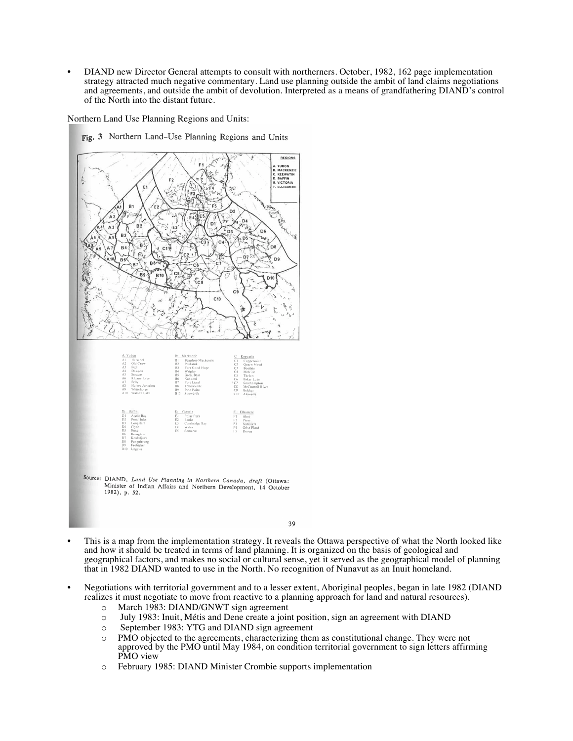• DIAND new Director General attempts to consult with northerners. October, 1982, 162 page implementation strategy attracted much negative commentary. Land use planning outside the ambit of land claims negotiations and agreements, and outside the ambit of devolution. Interpreted as a means of grandfathering DIAND's control of the North into the distant future.

Northern Land Use Planning Regions and Units:



Fig. 3 Northern Land-Use Planning Regions and Units

- This is a map from the implementation strategy. It reveals the Ottawa perspective of what the North looked like and how it should be treated in terms of land planning. It is organized on the basis of geological and geographical factors, and makes no social or cultural sense, yet it served as the geographical model of planning that in 1982 DIAND wanted to use in the North. No recognition of Nunavut as an Inuit homeland.
- Negotiations with territorial government and to a lesser extent, Aboriginal peoples, began in late 1982 (DIAND realizes it must negotiate to move from reactive to a planning approach for land and natural resources).
	- o March 1983: DIAND/GNWT sign agreement
	- o July 1983: Inuit, Métis and Dene create a joint position, sign an agreement with DIAND
	- o September 1983: YTG and DIAND sign agreement
	- o PMO objected to the agreements, characterizing them as constitutional change. They were not approved by the PMO until May 1984, on condition territorial government to sign letters affirming PMO view
	- o February 1985: DIAND Minister Crombie supports implementation